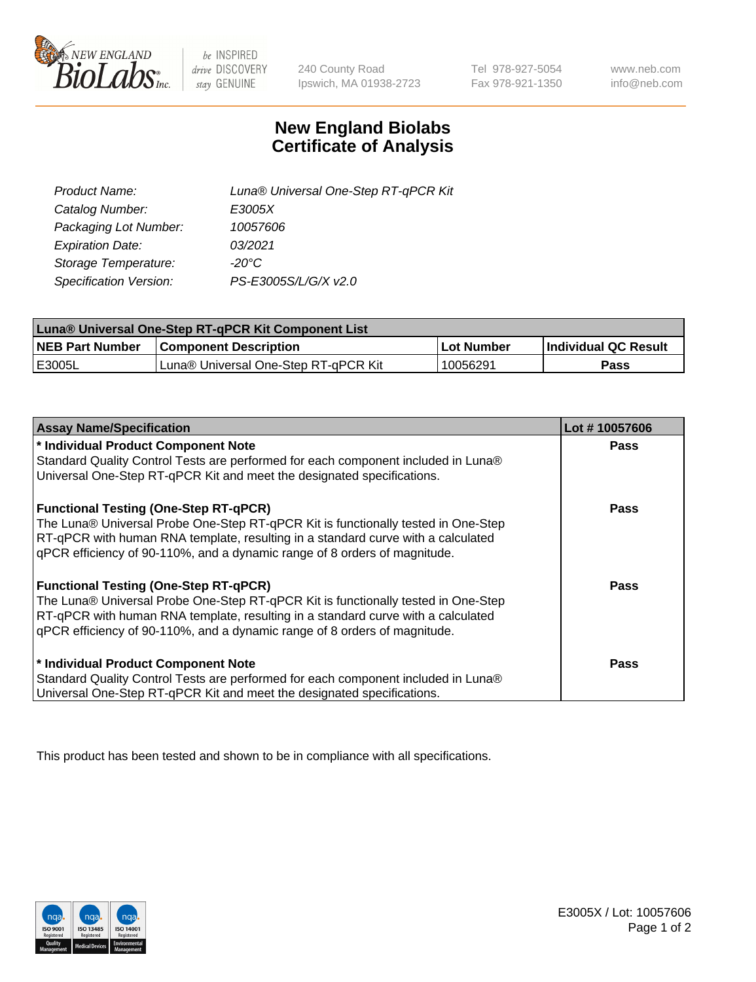

 $be$  INSPIRED drive DISCOVERY stay GENUINE

240 County Road Ipswich, MA 01938-2723 Tel 978-927-5054 Fax 978-921-1350 www.neb.com info@neb.com

## **New England Biolabs Certificate of Analysis**

| Luna® Universal One-Step RT-qPCR Kit |
|--------------------------------------|
| E3005X                               |
| 10057606                             |
| 03/2021                              |
| $-20^{\circ}$ C                      |
| PS-E3005S/L/G/X v2.0                 |
|                                      |

| Luna® Universal One-Step RT-qPCR Kit Component List |                                      |             |                       |  |
|-----------------------------------------------------|--------------------------------------|-------------|-----------------------|--|
| <b>NEB Part Number</b>                              | <b>Component Description</b>         | ∣Lot Number | ∣Individual QC Result |  |
| <b>IE3005L</b>                                      | Luna® Universal One-Step RT-qPCR Kit | 10056291    | Pass                  |  |

| <b>Assay Name/Specification</b>                                                   | Lot #10057606 |
|-----------------------------------------------------------------------------------|---------------|
| * Individual Product Component Note                                               | <b>Pass</b>   |
| Standard Quality Control Tests are performed for each component included in Luna® |               |
| Universal One-Step RT-qPCR Kit and meet the designated specifications.            |               |
| <b>Functional Testing (One-Step RT-qPCR)</b>                                      | Pass          |
| The Luna® Universal Probe One-Step RT-qPCR Kit is functionally tested in One-Step |               |
| RT-qPCR with human RNA template, resulting in a standard curve with a calculated  |               |
| qPCR efficiency of 90-110%, and a dynamic range of 8 orders of magnitude.         |               |
| <b>Functional Testing (One-Step RT-qPCR)</b>                                      | Pass          |
| The Luna® Universal Probe One-Step RT-qPCR Kit is functionally tested in One-Step |               |
| RT-qPCR with human RNA template, resulting in a standard curve with a calculated  |               |
| gPCR efficiency of 90-110%, and a dynamic range of 8 orders of magnitude.         |               |
| * Individual Product Component Note                                               | <b>Pass</b>   |
| Standard Quality Control Tests are performed for each component included in Luna® |               |
| Universal One-Step RT-qPCR Kit and meet the designated specifications.            |               |

This product has been tested and shown to be in compliance with all specifications.